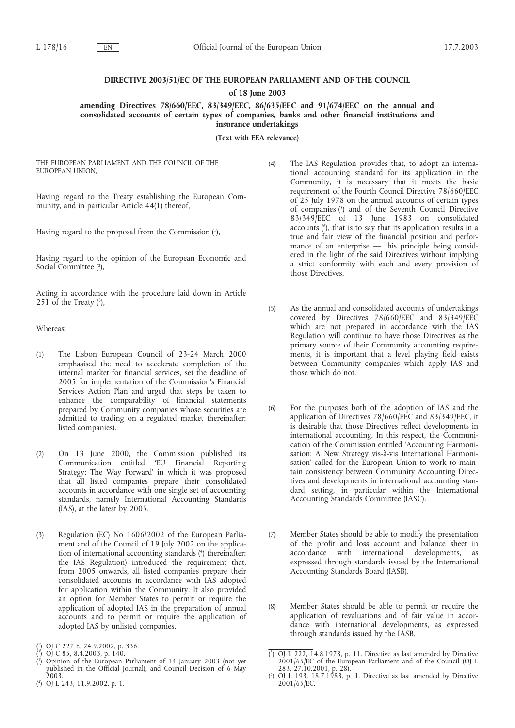# **DIRECTIVE 2003/51/EC OF THE EUROPEAN PARLIAMENT AND OF THE COUNCIL**

**of 18 June 2003**

**amending Directives 78/660/EEC, 83/349/EEC, 86/635/EEC and 91/674/EEC on the annual and consolidated accounts of certain types of companies, banks and other financial institutions and insurance undertakings**

**(Text with EEA relevance)**

THE EUROPEAN PARLIAMENT AND THE COUNCIL OF THE EUROPEAN UNION,

Having regard to the Treaty establishing the European Community, and in particular Article 44(1) thereof,

Having regard to the proposal from the Commission (1 ),

Having regard to the opinion of the European Economic and Social Committee (2),

Acting in accordance with the procedure laid down in Article 251 of the Treaty  $(3)$ ,

Whereas:

- (1) The Lisbon European Council of 23-24 March 2000 emphasised the need to accelerate completion of the internal market for financial services, set the deadline of 2005 for implementation of the Commission's Financial Services Action Plan and urged that steps be taken to enhance the comparability of financial statements prepared by Community companies whose securities are admitted to trading on a regulated market (hereinafter: listed companies).
- (2) On 13 June 2000, the Commission published its Communication entitled 'EU Financial Reporting Strategy: The Way Forward' in which it was proposed that all listed companies prepare their consolidated accounts in accordance with one single set of accounting standards, namely International Accounting Standards (IAS), at the latest by 2005.
- (3) Regulation (EC) No 1606/2002 of the European Parliament and of the Council of 19 July 2002 on the application of international accounting standards (4 ) (hereinafter: the IAS Regulation) introduced the requirement that, from 2005 onwards, all listed companies prepare their consolidated accounts in accordance with IAS adopted for application within the Community. It also provided an option for Member States to permit or require the application of adopted IAS in the preparation of annual accounts and to permit or require the application of adopted IAS by unlisted companies.
- (4) The IAS Regulation provides that, to adopt an international accounting standard for its application in the Community, it is necessary that it meets the basic requirement of the Fourth Council Directive 78/660/EEC of 25 July 1978 on the annual accounts of certain types of companies (5 ) and of the Seventh Council Directive 83/349/EEC of 13 June 1983 on consolidated accounts (6 ), that is to say that its application results in a true and fair view of the financial position and performance of an enterprise — this principle being considered in the light of the said Directives without implying a strict conformity with each and every provision of those Directives.
- (5) As the annual and consolidated accounts of undertakings covered by Directives 78/660/EEC and 83/349/EEC which are not prepared in accordance with the IAS Regulation will continue to have those Directives as the primary source of their Community accounting requirements, it is important that a level playing field exists between Community companies which apply IAS and those which do not.
- (6) For the purposes both of the adoption of IAS and the application of Directives 78/660/EEC and 83/349/EEC, it is desirable that those Directives reflect developments in international accounting. In this respect, the Communication of the Commission entitled 'Accounting Harmonisation: A New Strategy vis-à-vis International Harmonisation' called for the European Union to work to maintain consistency between Community Accounting Directives and developments in international accounting standard setting, in particular within the International Accounting Standards Committee (IASC).
- (7) Member States should be able to modify the presentation of the profit and loss account and balance sheet in accordance with international developments, as expressed through standards issued by the International Accounting Standards Board (IASB).
- (8) Member States should be able to permit or require the application of revaluations and of fair value in accordance with international developments, as expressed through standards issued by the IASB.

<sup>(</sup> 1 ) OJ C 227 E, 24.9.2002, p. 336.

 $(2)$  OJ C 85, 8.4.2003, p. 140.

<sup>(</sup> 3 ) Opinion of the European Parliament of 14 January 2003 (not yet published in the Official Journal), and Council Decision of 6 May 2003.

<sup>(</sup> 4 ) OJ L 243, 11.9.2002, p. 1.

<sup>(</sup> 5 ) OJ L 222, 14.8.1978, p. 11. Directive as last amended by Directive 2001/65/EC of the European Parliament and of the Council (OJ L 283, 27.10.2001, p. 28).

<sup>(</sup> 6 ) OJ L 193, 18.7.1983, p. 1. Directive as last amended by Directive 2001/65/EC.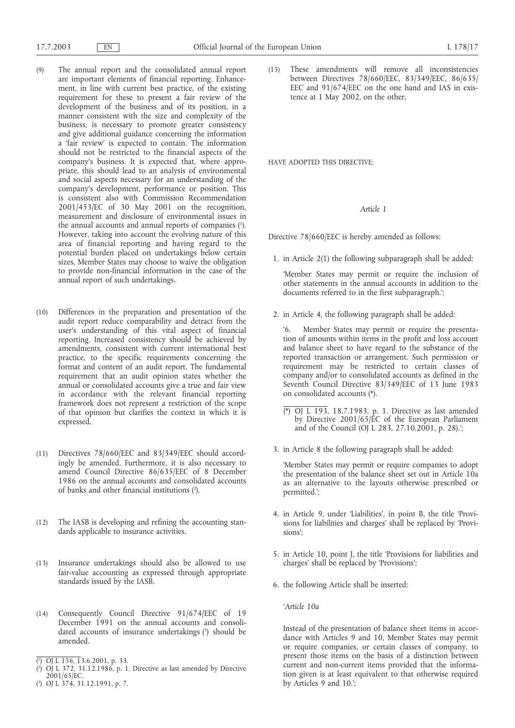- (9) The annual report and the consolidated annual report are important elements of financial reporting. Enhancement, in line with current best practice, of the existing requirement for these to present a fair review of the development of the business and of its position, in a manner consistent with the size and complexity of the business, is necessary to promote greater consistency and give additional guidance concerning the information a 'fair review' is expected to contain. The information should not be restricted to the financial aspects of the company's business. It is expected that, where appropriate, this should lead to an analysis of environmental and social aspects necessary for an understanding of the company's development, performance or position. This is consistent also with Commission Recommendation 2001/453/EC of 30 May 2001 on the recognition, measurement and disclosure of environmental issues in the annual accounts and annual reports of companies (1 ). However, taking into account the evolving nature of this area of financial reporting and having regard to the potential burden placed on undertakings below certain sizes, Member States may choose to waive the obligation to provide non-financial information in the case of the annual report of such undertakings.
- (10) Differences in the preparation and presentation of the audit report reduce comparability and detract from the user's understanding of this vital aspect of financial reporting. Increased consistency should be achieved by amendments, consistent with current international best practice, to the specific requirements concerning the format and content of an audit report. The fundamental requirement that an audit opinion states whether the annual or consolidated accounts give a true and fair view in accordance with the relevant financial reporting framework does not represent a restriction of the scope of that opinion but clarifies the context in which it is expressed.
- (11) Directives 78/660/EEC and 83/349/EEC should accordingly be amended. Furthermore, it is also necessary to amend Council Directive 86/635/EEC of 8 December 1986 on the annual accounts and consolidated accounts of banks and other financial institutions  $(2)$ .
- (12) The IASB is developing and refining the accounting standards applicable to insurance activities.
- (13) Insurance undertakings should also be allowed to use fair-value accounting as expressed through appropriate standards issued by the IASB.
- (14) Consequently Council Directive 91/674/EEC of 19 December 1991 on the annual accounts and consolidated accounts of insurance undertakings (3) should be amended.
- ( 1 ) OJ L 156, 13.6.2001, p. 33.
- ( 2 ) OJ L 372, 31.12.1986, p. 1. Directive as last amended by Directive 2001/65/EC.
- ( 3 ) OJ L 374, 31.12.1991, p. 7.

(15) These amendments will remove all inconsistencies between Directives 78/660/EEC, 83/349/EEC, 86/635/ EEC and 91/674/EEC on the one hand and IAS in existence at 1 May 2002, on the other,

HAVE ADOPTED THIS DIRECTIVE:

## *Article 1*

Directive 78/660/EEC is hereby amended as follows:

1. in Article 2(1) the following subparagraph shall be added:

'Member States may permit or require the inclusion of other statements in the annual accounts in addition to the documents referred to in the first subparagraph.';

2. in Article 4, the following paragraph shall be added:

'6. Member States may permit or require the presentation of amounts within items in the profit and loss account and balance sheet to have regard to the substance of the reported transaction or arrangement. Such permission or requirement may be restricted to certain classes of company and/or to consolidated accounts as defined in the Seventh Council Directive 83/349/EEC of 13 June 1983 on consolidated accounts (\*).

- (\*) OJ L 193, 18.7.1983, p. 1. Directive as last amended by Directive 2001/65/EC of the European Parliament and of the Council  $[OJ/L 283, 27.10.2001, p. 28]$ .
- 3. in Article 8 the following paragraph shall be added:

'Member States may permit or require companies to adopt the presentation of the balance sheet set out in Article 10a as an alternative to the layouts otherwise prescribed or permitted.';

- 4. in Article 9, under 'Liabilities', in point B, the title 'Provisions for liabilities and charges' shall be replaced by 'Provisions';
- 5. in Article 10, point J, the title 'Provisions for liabilities and charges' shall be replaced by 'Provisions';
- 6. the following Article shall be inserted:

*'Article 10a*

Instead of the presentation of balance sheet items in accordance with Articles 9 and 10, Member States may permit or require companies, or certain classes of company, to present those items on the basis of a distinction between current and non-current items provided that the information given is at least equivalent to that otherwise required by Articles 9 and 10.';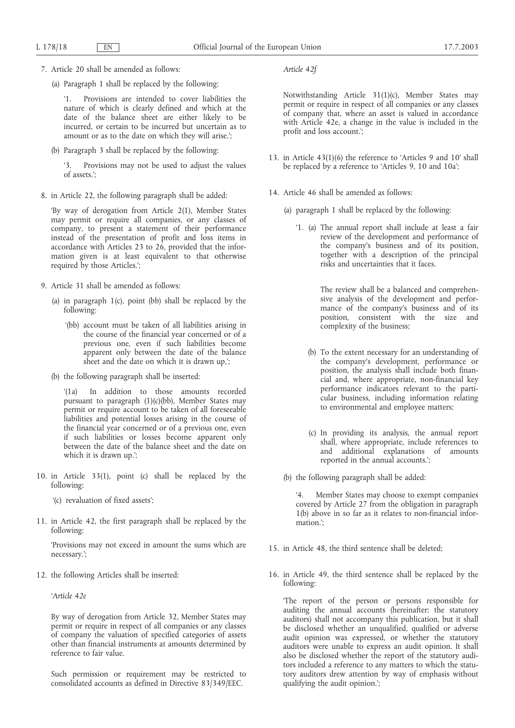7. Article 20 shall be amended as follows:

(a) Paragraph 1 shall be replaced by the following:

'1. Provisions are intended to cover liabilities the nature of which is clearly defined and which at the date of the balance sheet are either likely to be incurred, or certain to be incurred but uncertain as to amount or as to the date on which they will arise.';

(b) Paragraph 3 shall be replaced by the following:

'3. Provisions may not be used to adjust the values of assets.';

8. in Article 22, the following paragraph shall be added:

'By way of derogation from Article 2(1), Member States may permit or require all companies, or any classes of company, to present a statement of their performance instead of the presentation of profit and loss items in accordance with Articles 23 to  $2\overline{6}$ , provided that the information given is at least equivalent to that otherwise required by those Articles.';

- 9. Article 31 shall be amended as follows:
	- (a) in paragraph  $1(c)$ , point (bb) shall be replaced by the following:
		- '(bb) account must be taken of all liabilities arising in the course of the financial year concerned or of a previous one, even if such liabilities become apparent only between the date of the balance sheet and the date on which it is drawn up,';
	- (b) the following paragraph shall be inserted:

'(1a) In addition to those amounts recorded pursuant to paragraph (1)(c)(bb), Member States may permit or require account to be taken of all foreseeable liabilities and potential losses arising in the course of the financial year concerned or of a previous one, even if such liabilities or losses become apparent only between the date of the balance sheet and the date on which it is drawn up.';

- 10. in Article 33(1), point (c) shall be replaced by the following:
	- '(c) revaluation of fixed assets';
- 11. in Article 42, the first paragraph shall be replaced by the following:

'Provisions may not exceed in amount the sums which are necessary.';

12. the following Articles shall be inserted:

*'Article 42e*

By way of derogation from Article 32, Member States may permit or require in respect of all companies or any classes of company the valuation of specified categories of assets other than financial instruments at amounts determined by reference to fair value.

Such permission or requirement may be restricted to consolidated accounts as defined in Directive 83/349/EEC.

*Article 42f*

Notwithstanding Article 31(1)(c), Member States may permit or require in respect of all companies or any classes of company that, where an asset is valued in accordance with Article 42e, a change in the value is included in the profit and loss account.';

- 13. in Article 43(1)(6) the reference to 'Articles 9 and 10' shall be replaced by a reference to 'Articles 9, 10 and 10a';
- 14. Article 46 shall be amended as follows:
	- (a) paragraph 1 shall be replaced by the following:
		- '1. (a) The annual report shall include at least a fair review of the development and performance of the company's business and of its position, together with a description of the principal risks and uncertainties that it faces.

The review shall be a balanced and comprehensive analysis of the development and performance of the company's business and of its position, consistent with the size and complexity of the business;

- (b) To the extent necessary for an understanding of the company's development, performance or position, the analysis shall include both financial and, where appropriate, non-financial key performance indicators relevant to the particular business, including information relating to environmental and employee matters;
- (c) In providing its analysis, the annual report shall, where appropriate, include references to and additional explanations of amounts reported in the annual accounts.';
- (b) the following paragraph shall be added:

Member States may choose to exempt companies covered by Article 27 from the obligation in paragraph 1(b) above in so far as it relates to non-financial information.';

- 15. in Article 48, the third sentence shall be deleted;
- 16. in Article 49, the third sentence shall be replaced by the following:

'The report of the person or persons responsible for auditing the annual accounts (hereinafter: the statutory auditors) shall not accompany this publication, but it shall be disclosed whether an unqualified, qualified or adverse audit opinion was expressed, or whether the statutory auditors were unable to express an audit opinion. It shall also be disclosed whether the report of the statutory auditors included a reference to any matters to which the statutory auditors drew attention by way of emphasis without qualifying the audit opinion.';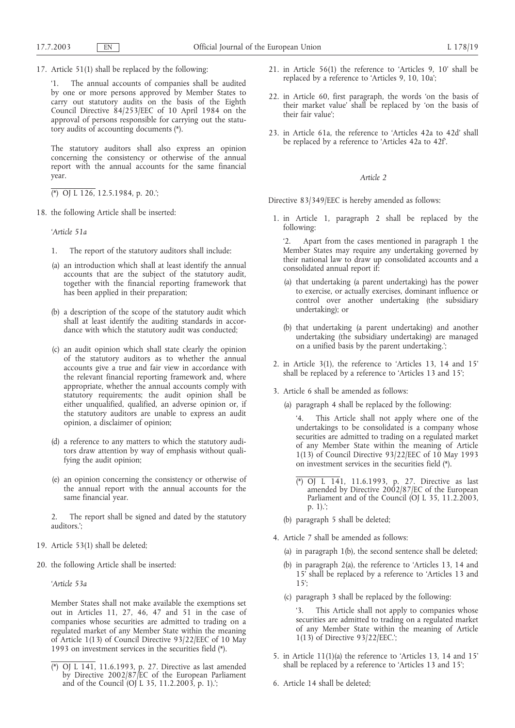17. Article 51(1) shall be replaced by the following:

'1. The annual accounts of companies shall be audited by one or more persons approved by Member States to carry out statutory audits on the basis of the Eighth Council Directive 84/253/EEC of 10 April 1984 on the approval of persons responsible for carrying out the statutory audits of accounting documents (\*).

The statutory auditors shall also express an opinion concerning the consistency or otherwise of the annual report with the annual accounts for the same financial year.

(\*) OJ L 126, 12.5.1984, p. 20.';

18. the following Article shall be inserted:

*'Article 51a*

- 1. The report of the statutory auditors shall include:
- (a) an introduction which shall at least identify the annual accounts that are the subject of the statutory audit, together with the financial reporting framework that has been applied in their preparation;
- (b) a description of the scope of the statutory audit which shall at least identify the auditing standards in accordance with which the statutory audit was conducted;
- (c) an audit opinion which shall state clearly the opinion of the statutory auditors as to whether the annual accounts give a true and fair view in accordance with the relevant financial reporting framework and, where appropriate, whether the annual accounts comply with statutory requirements; the audit opinion shall be either unqualified, qualified, an adverse opinion or, if the statutory auditors are unable to express an audit opinion, a disclaimer of opinion;
- (d) a reference to any matters to which the statutory auditors draw attention by way of emphasis without qualifying the audit opinion;
- (e) an opinion concerning the consistency or otherwise of the annual report with the annual accounts for the same financial year.

2. The report shall be signed and dated by the statutory auditors.';

- 19. Article 53(1) shall be deleted;
- 20. the following Article shall be inserted:

*'Article 53a*

Member States shall not make available the exemptions set out in Articles 11, 27, 46, 47 and 51 in the case of companies whose securities are admitted to trading on a regulated market of any Member State within the meaning of Article 1(13) of Council Directive 93/22/EEC of 10 May 1993 on investment services in the securities field (\*).

- 21. in Article 56(1) the reference to 'Articles 9, 10' shall be replaced by a reference to 'Articles 9, 10, 10a';
- 22. in Article 60, first paragraph, the words 'on the basis of their market value' shall be replaced by 'on the basis of their fair value';
- 23. in Article 61a, the reference to 'Articles 42a to 42d' shall be replaced by a reference to 'Articles 42a to 42f'.

### *Article 2*

Directive 83/349/EEC is hereby amended as follows:

- 1. in Article 1, paragraph 2 shall be replaced by the following:
	- '2. Apart from the cases mentioned in paragraph 1 the Member States may require any undertaking governed by their national law to draw up consolidated accounts and a consolidated annual report if:
	- (a) that undertaking (a parent undertaking) has the power to exercise, or actually exercises, dominant influence or control over another undertaking (the subsidiary undertaking); or
	- (b) that undertaking (a parent undertaking) and another undertaking (the subsidiary undertaking) are managed on a unified basis by the parent undertaking.';
- 2. in Article 3(1), the reference to 'Articles 13, 14 and 15' shall be replaced by a reference to 'Articles 13 and 15';
- 3. Article 6 shall be amended as follows:
	- (a) paragraph 4 shall be replaced by the following:

'4. This Article shall not apply where one of the undertakings to be consolidated is a company whose securities are admitted to trading on a regulated market of any Member State within the meaning of Article 1(13) of Council Directive 93/22/EEC of 10 May 1993 on investment services in the securities field (\*).

- (\*) OJ L 141, 11.6.1993, p. 27. Directive as last amended by Directive 2002/87/EC of the European Parliament and of the Council (OJ L 35, 11.2.2003, p. 1).';
- (b) paragraph 5 shall be deleted;
- 4. Article 7 shall be amended as follows:
	- (a) in paragraph 1(b), the second sentence shall be deleted;
	- (b) in paragraph 2(a), the reference to 'Articles 13, 14 and 15' shall be replaced by a reference to 'Articles 13 and 15';
	- (c) paragraph 3 shall be replaced by the following:

'3. This Article shall not apply to companies whose securities are admitted to trading on a regulated market of any Member State within the meaning of Article 1(13) of Directive 93/22/EEC.';

- 5. in Article 11(1)(a) the reference to 'Articles 13, 14 and 15' shall be replaced by a reference to 'Articles 13 and 15';
- 6. Article 14 shall be deleted;

<sup>(\*)</sup> OJ L 141, 11.6.1993, p. 27. Directive as last amended by Directive 2002/87/EC of the European Parliament and of the Council (OJ L 35, 11.2.2003, p. 1).';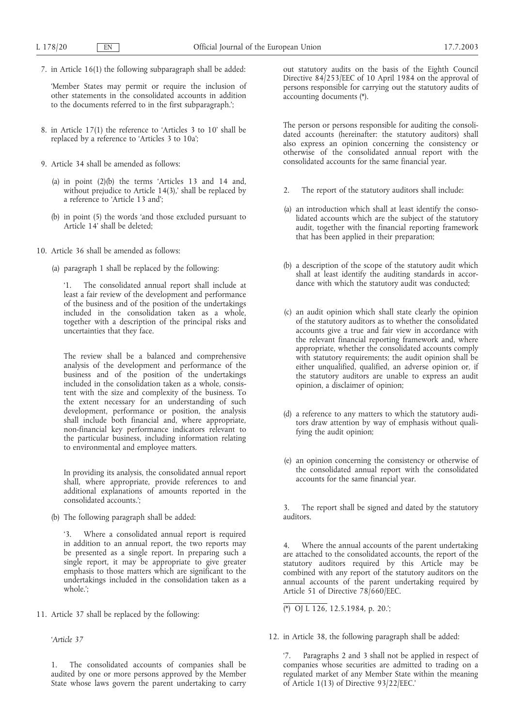7. in Article 16(1) the following subparagraph shall be added:

'Member States may permit or require the inclusion of other statements in the consolidated accounts in addition to the documents referred to in the first subparagraph.';

- 8. in Article 17(1) the reference to 'Articles 3 to 10' shall be replaced by a reference to 'Articles 3 to 10a';
- 9. Article 34 shall be amended as follows:
	- (a) in point (2)(b) the terms 'Articles 13 and 14 and, without prejudice to Article 14(3),' shall be replaced by a reference to 'Article 13 and';
	- (b) in point (5) the words 'and those excluded pursuant to Article 14' shall be deleted;
- 10. Article 36 shall be amended as follows:
	- (a) paragraph 1 shall be replaced by the following:

The consolidated annual report shall include at least a fair review of the development and performance of the business and of the position of the undertakings included in the consolidation taken as a whole, together with a description of the principal risks and uncertainties that they face.

The review shall be a balanced and comprehensive analysis of the development and performance of the business and of the position of the undertakings included in the consolidation taken as a whole, consistent with the size and complexity of the business. To the extent necessary for an understanding of such development, performance or position, the analysis shall include both financial and, where appropriate, non-financial key performance indicators relevant to the particular business, including information relating to environmental and employee matters.

In providing its analysis, the consolidated annual report shall, where appropriate, provide references to and additional explanations of amounts reported in the consolidated accounts.';

(b) The following paragraph shall be added:

'3. Where a consolidated annual report is required in addition to an annual report, the two reports may be presented as a single report. In preparing such a single report, it may be appropriate to give greater emphasis to those matters which are significant to the undertakings included in the consolidation taken as a whole.';

11. Article 37 shall be replaced by the following:

*'Article 37*

1. The consolidated accounts of companies shall be audited by one or more persons approved by the Member State whose laws govern the parent undertaking to carry out statutory audits on the basis of the Eighth Council Directive 84/253/EEC of 10 April 1984 on the approval of persons responsible for carrying out the statutory audits of accounting documents (\*).

The person or persons responsible for auditing the consolidated accounts (hereinafter: the statutory auditors) shall also express an opinion concerning the consistency or otherwise of the consolidated annual report with the consolidated accounts for the same financial year.

- 2. The report of the statutory auditors shall include:
- (a) an introduction which shall at least identify the consolidated accounts which are the subject of the statutory audit, together with the financial reporting framework that has been applied in their preparation;
- (b) a description of the scope of the statutory audit which shall at least identify the auditing standards in accordance with which the statutory audit was conducted;
- (c) an audit opinion which shall state clearly the opinion of the statutory auditors as to whether the consolidated accounts give a true and fair view in accordance with the relevant financial reporting framework and, where appropriate, whether the consolidated accounts comply with statutory requirements; the audit opinion shall be either unqualified, qualified, an adverse opinion or, if the statutory auditors are unable to express an audit opinion, a disclaimer of opinion;
- (d) a reference to any matters to which the statutory auditors draw attention by way of emphasis without qualifying the audit opinion;
- (e) an opinion concerning the consistency or otherwise of the consolidated annual report with the consolidated accounts for the same financial year.

3. The report shall be signed and dated by the statutory auditors.

4. Where the annual accounts of the parent undertaking are attached to the consolidated accounts, the report of the statutory auditors required by this Article may be combined with any report of the statutory auditors on the annual accounts of the parent undertaking required by Article 51 of Directive 78/660/EEC.

(\*) OJ L 126, 12.5.1984, p. 20.';

12. in Article 38, the following paragraph shall be added:

'7. Paragraphs 2 and 3 shall not be applied in respect of companies whose securities are admitted to trading on a regulated market of any Member State within the meaning of Article 1(13) of Directive 93/22/EEC.'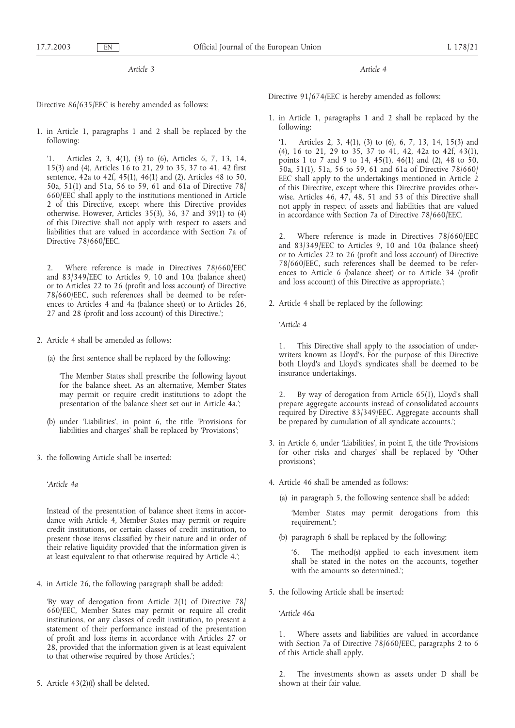*Article 3*

Directive 86/635/EEC is hereby amended as follows:

1. in Article 1, paragraphs 1 and 2 shall be replaced by the following:

'1. Articles 2, 3, 4(1), (3) to (6), Articles 6, 7, 13, 14, 15(3) and (4), Articles 16 to 21, 29 to 35, 37 to 41, 42 first sentence, 42a to 42f, 45(1), 46(1) and (2), Articles 48 to 50, 50a, 51(1) and 51a, 56 to 59, 61 and 61a of Directive 78/ 660/EEC shall apply to the institutions mentioned in Article 2 of this Directive, except where this Directive provides otherwise. However, Articles 35(3), 36, 37 and 39(1) to (4) of this Directive shall not apply with respect to assets and liabilities that are valued in accordance with Section 7a of Directive 78/660/EEC.

2. Where reference is made in Directives 78/660/EEC and 83/349/EEC to Articles 9, 10 and 10a (balance sheet) or to Articles 22 to 26 (profit and loss account) of Directive 78/660/EEC, such references shall be deemed to be references to Articles 4 and 4a (balance sheet) or to Articles 26, 27 and 28 (profit and loss account) of this Directive.';

- 2. Article 4 shall be amended as follows:
	- (a) the first sentence shall be replaced by the following:

'The Member States shall prescribe the following layout for the balance sheet. As an alternative, Member States may permit or require credit institutions to adopt the presentation of the balance sheet set out in Article 4a.';

- (b) under 'Liabilities', in point 6, the title 'Provisions for liabilities and charges' shall be replaced by 'Provisions';
- 3. the following Article shall be inserted:

*'Article 4a*

Instead of the presentation of balance sheet items in accordance with Article 4, Member States may permit or require credit institutions, or certain classes of credit institution, to present those items classified by their nature and in order of their relative liquidity provided that the information given is at least equivalent to that otherwise required by Article 4.';

4. in Article 26, the following paragraph shall be added:

'By way of derogation from Article 2(1) of Directive 78/ 660/EEC, Member States may permit or require all credit institutions, or any classes of credit institution, to present a statement of their performance instead of the presentation of profit and loss items in accordance with Articles 27 or 28, provided that the information given is at least equivalent to that otherwise required by those Articles.';

5. Article 43(2)(f) shall be deleted.

*Article 4*

Directive 91/674/EEC is hereby amended as follows:

1. in Article 1, paragraphs 1 and 2 shall be replaced by the following:

'1. Articles 2, 3, 4(1), (3) to (6), 6, 7, 13, 14, 15(3) and (4), 16 to 21, 29 to 35, 37 to 41, 42, 42a to 42f, 43(1), points 1 to 7 and 9 to 14, 45(1), 46(1) and (2), 48 to 50, 50a, 51(1), 51a, 56 to 59, 61 and 61a of Directive 78/660/ EEC shall apply to the undertakings mentioned in Article 2 of this Directive, except where this Directive provides otherwise. Articles 46, 47, 48, 51 and 53 of this Directive shall not apply in respect of assets and liabilities that are valued in accordance with Section 7a of Directive 78/660/EEC.

2. Where reference is made in Directives 78/660/EEC and 83/349/EEC to Articles 9, 10 and 10a (balance sheet) or to Articles 22 to 26 (profit and loss account) of Directive 78/660/EEC, such references shall be deemed to be references to Article 6 (balance sheet) or to Article 34 (profit and loss account) of this Directive as appropriate.';

2. Article 4 shall be replaced by the following:

*'Article 4*

1. This Directive shall apply to the association of underwriters known as Lloyd's. For the purpose of this Directive both Lloyd's and Lloyd's syndicates shall be deemed to be insurance undertakings.

2. By way of derogation from Article 65(1), Lloyd's shall prepare aggregate accounts instead of consolidated accounts required by Directive 83/349/EEC. Aggregate accounts shall be prepared by cumulation of all syndicate accounts.';

- 3. in Article 6, under 'Liabilities', in point E, the title 'Provisions for other risks and charges' shall be replaced by 'Other provisions';
- 4. Article 46 shall be amended as follows:
	- (a) in paragraph 5, the following sentence shall be added:

'Member States may permit derogations from this requirement.';

(b) paragraph 6 shall be replaced by the following:

'6. The method(s) applied to each investment item shall be stated in the notes on the accounts, together with the amounts so determined.';

- 5. the following Article shall be inserted:
	- *'Article 46a*

1. Where assets and liabilities are valued in accordance with Section 7a of Directive 78/660/EEC, paragraphs 2 to 6 of this Article shall apply.

The investments shown as assets under D shall be shown at their fair value.